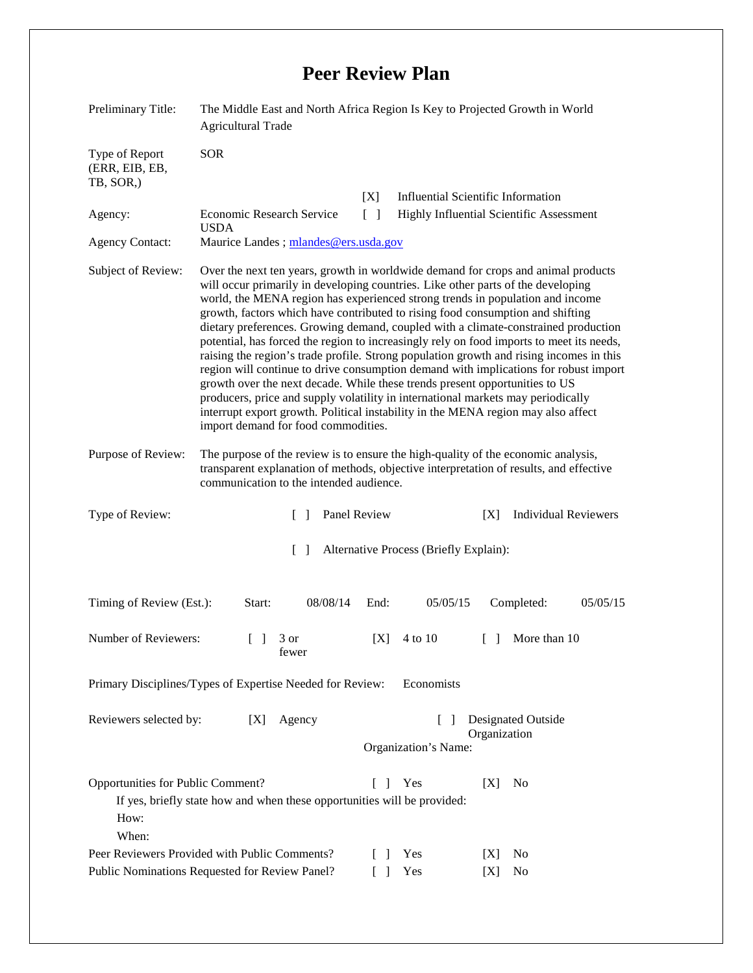## **Peer Review Plan**

| Preliminary Title:                                                                                                                                                             | The Middle East and North Africa Region Is Key to Projected Growth in World<br><b>Agricultural Trade</b>                                                                                                                                                                                                                                                                                                                                                                                                                                                                                                                                                                                                                                                                                                                                                                                                                                                                                                     |                     |                                                                                |
|--------------------------------------------------------------------------------------------------------------------------------------------------------------------------------|--------------------------------------------------------------------------------------------------------------------------------------------------------------------------------------------------------------------------------------------------------------------------------------------------------------------------------------------------------------------------------------------------------------------------------------------------------------------------------------------------------------------------------------------------------------------------------------------------------------------------------------------------------------------------------------------------------------------------------------------------------------------------------------------------------------------------------------------------------------------------------------------------------------------------------------------------------------------------------------------------------------|---------------------|--------------------------------------------------------------------------------|
| Type of Report<br>(ERR, EIB, EB,<br>TB, SOR.)                                                                                                                                  | <b>SOR</b>                                                                                                                                                                                                                                                                                                                                                                                                                                                                                                                                                                                                                                                                                                                                                                                                                                                                                                                                                                                                   |                     |                                                                                |
| Agency:                                                                                                                                                                        | <b>Economic Research Service</b>                                                                                                                                                                                                                                                                                                                                                                                                                                                                                                                                                                                                                                                                                                                                                                                                                                                                                                                                                                             | [X]<br>$[\ ]$       | Influential Scientific Information<br>Highly Influential Scientific Assessment |
| <b>Agency Contact:</b>                                                                                                                                                         | <b>USDA</b><br>Maurice Landes; mlandes@ers.usda.gov                                                                                                                                                                                                                                                                                                                                                                                                                                                                                                                                                                                                                                                                                                                                                                                                                                                                                                                                                          |                     |                                                                                |
|                                                                                                                                                                                |                                                                                                                                                                                                                                                                                                                                                                                                                                                                                                                                                                                                                                                                                                                                                                                                                                                                                                                                                                                                              |                     |                                                                                |
| Subject of Review:                                                                                                                                                             | Over the next ten years, growth in worldwide demand for crops and animal products<br>will occur primarily in developing countries. Like other parts of the developing<br>world, the MENA region has experienced strong trends in population and income<br>growth, factors which have contributed to rising food consumption and shifting<br>dietary preferences. Growing demand, coupled with a climate-constrained production<br>potential, has forced the region to increasingly rely on food imports to meet its needs,<br>raising the region's trade profile. Strong population growth and rising incomes in this<br>region will continue to drive consumption demand with implications for robust import<br>growth over the next decade. While these trends present opportunities to US<br>producers, price and supply volatility in international markets may periodically<br>interrupt export growth. Political instability in the MENA region may also affect<br>import demand for food commodities. |                     |                                                                                |
| Purpose of Review:                                                                                                                                                             | The purpose of the review is to ensure the high-quality of the economic analysis,<br>transparent explanation of methods, objective interpretation of results, and effective<br>communication to the intended audience.                                                                                                                                                                                                                                                                                                                                                                                                                                                                                                                                                                                                                                                                                                                                                                                       |                     |                                                                                |
| Type of Review:                                                                                                                                                                | $\mathbf{1}$                                                                                                                                                                                                                                                                                                                                                                                                                                                                                                                                                                                                                                                                                                                                                                                                                                                                                                                                                                                                 | Panel Review        | <b>Individual Reviewers</b><br>[X]                                             |
| Alternative Process (Briefly Explain):<br>$\Box$                                                                                                                               |                                                                                                                                                                                                                                                                                                                                                                                                                                                                                                                                                                                                                                                                                                                                                                                                                                                                                                                                                                                                              |                     |                                                                                |
| Timing of Review (Est.):                                                                                                                                                       | 08/08/14<br>Start:                                                                                                                                                                                                                                                                                                                                                                                                                                                                                                                                                                                                                                                                                                                                                                                                                                                                                                                                                                                           | End:<br>05/05/15    | Completed:<br>05/05/15                                                         |
| Number of Reviewers:<br>[X]<br>4 to 10<br>More than 10<br>$\begin{bmatrix} 1 & 3 \end{bmatrix}$<br>$\Box$<br>fewer                                                             |                                                                                                                                                                                                                                                                                                                                                                                                                                                                                                                                                                                                                                                                                                                                                                                                                                                                                                                                                                                                              |                     |                                                                                |
| Primary Disciplines/Types of Expertise Needed for Review:<br>Economists                                                                                                        |                                                                                                                                                                                                                                                                                                                                                                                                                                                                                                                                                                                                                                                                                                                                                                                                                                                                                                                                                                                                              |                     |                                                                                |
| <b>Designated Outside</b><br>Reviewers selected by:<br>Agency<br>[X]<br>$\mathsf{L}$<br>Organization                                                                           |                                                                                                                                                                                                                                                                                                                                                                                                                                                                                                                                                                                                                                                                                                                                                                                                                                                                                                                                                                                                              |                     |                                                                                |
| Organization's Name:                                                                                                                                                           |                                                                                                                                                                                                                                                                                                                                                                                                                                                                                                                                                                                                                                                                                                                                                                                                                                                                                                                                                                                                              |                     |                                                                                |
| Opportunities for Public Comment?<br>Yes<br>[X]<br>N <sub>0</sub><br>$\mathbf{I}$<br>If yes, briefly state how and when these opportunities will be provided:<br>How:<br>When: |                                                                                                                                                                                                                                                                                                                                                                                                                                                                                                                                                                                                                                                                                                                                                                                                                                                                                                                                                                                                              |                     |                                                                                |
| Peer Reviewers Provided with Public Comments?                                                                                                                                  |                                                                                                                                                                                                                                                                                                                                                                                                                                                                                                                                                                                                                                                                                                                                                                                                                                                                                                                                                                                                              | Yes<br>$\mathbf{I}$ | N <sub>0</sub><br>[X]                                                          |
| Yes<br>Public Nominations Requested for Review Panel?<br>No<br>[X]                                                                                                             |                                                                                                                                                                                                                                                                                                                                                                                                                                                                                                                                                                                                                                                                                                                                                                                                                                                                                                                                                                                                              |                     |                                                                                |